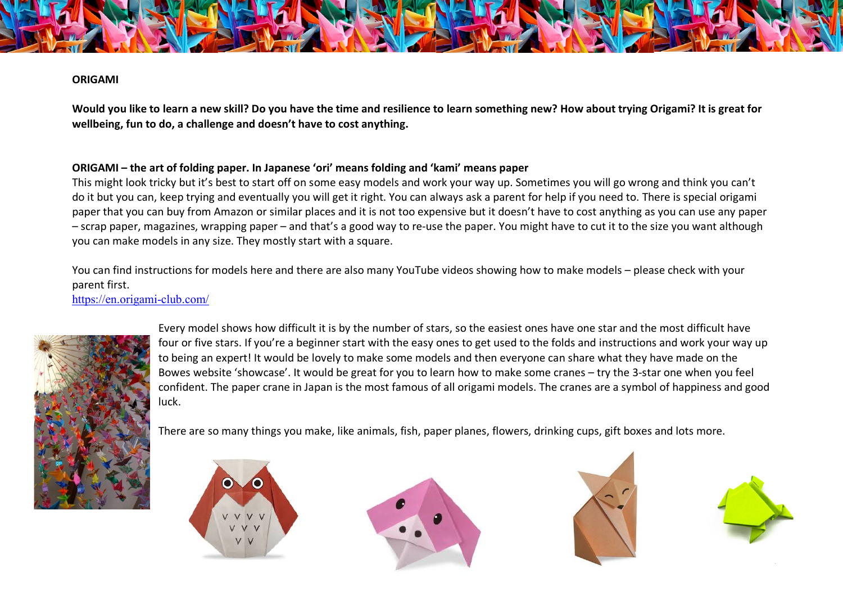## **ORIGAMI**

**Would you like to learn a new skill? Do you have the time and resilience to learn something new? How about trying Origami? It is great for wellbeing, fun to do, a challenge and doesn't have to cost anything.**

## **ORIGAMI – the art of folding paper. In Japanese 'ori' means folding and 'kami' means paper**

This might look tricky but it's best to start off on some easy models and work your way up. Sometimes you will go wrong and think you can't do it but you can, keep trying and eventually you will get it right. You can always ask a parent for help if you need to. There is special origami paper that you can buy from Amazon or similar places and it is not too expensive but it doesn't have to cost anything as you can use any paper – scrap paper, magazines, wrapping paper – and that's a good way to re-use the paper. You might have to cut it to the size you want although you can make models in any size. They mostly start with a square.

You can find instructions for models here and there are also many YouTube videos showing how to make models – please check with your parent first.

https://en.origami-club.com/



Every model shows how difficult it is by the number of stars, so the easiest ones have one star and the most difficult have four or five stars. If you're a beginner start with the easy ones to get used to the folds and instructions and work your way up to being an expert! It would be lovely to make some models and then everyone can share what they have made on the Bowes website 'showcase'. It would be great for you to learn how to make some cranes – try the 3-star one when you feel confident. The paper crane in Japan is the most famous of all origami models. The cranes are a symbol of happiness and good luck.

There are so many things you make, like animals, fish, paper planes, flowers, drinking cups, gift boxes and lots more.